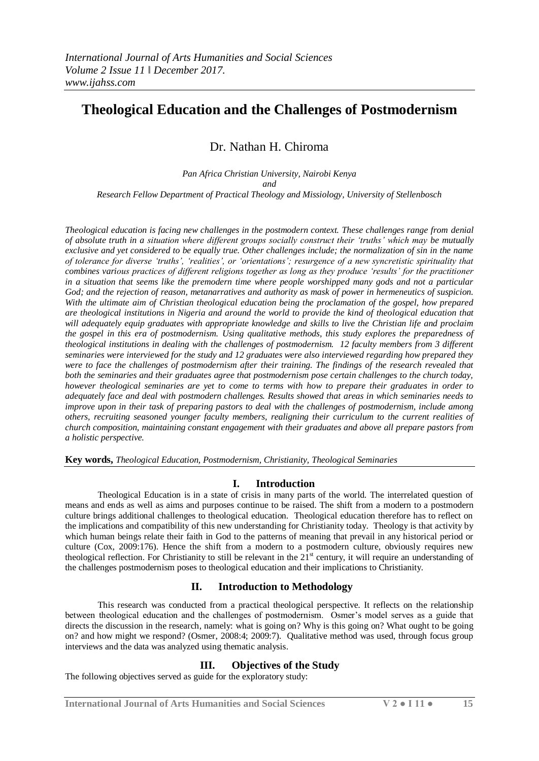# **Theological Education and the Challenges of Postmodernism**

Dr. Nathan H. Chiroma

*Pan Africa Christian University, Nairobi Kenya and Research Fellow Department of Practical Theology and Missiology, University of Stellenbosch*

*Theological education is facing new challenges in the postmodern context. These challenges range from denial of absolute truth in a situation where different groups socially construct their 'truths' which may be mutually exclusive and yet considered to be equally true. Other challenges include; the normalization of sin in the name of tolerance for diverse 'truths', 'realities', or 'orientations'; resurgence of a new syncretistic spirituality that combines various practices of different religions together as long as they produce 'results' for the practitioner in a situation that seems like the premodern time where people worshipped many gods and not a particular God; and the rejection of reason, metanarratives and authority as mask of power in hermeneutics of suspicion. With the ultimate aim of Christian theological education being the proclamation of the gospel, how prepared are theological institutions in Nigeria and around the world to provide the kind of theological education that will adequately equip graduates with appropriate knowledge and skills to live the Christian life and proclaim the gospel in this era of postmodernism. Using qualitative methods, this study explores the preparedness of theological institutions in dealing with the challenges of postmodernism. 12 faculty members from 3 different seminaries were interviewed for the study and 12 graduates were also interviewed regarding how prepared they were to face the challenges of postmodernism after their training. The findings of the research revealed that both the seminaries and their graduates agree that postmodernism pose certain challenges to the church today, however theological seminaries are yet to come to terms with how to prepare their graduates in order to adequately face and deal with postmodern challenges. Results showed that areas in which seminaries needs to improve upon in their task of preparing pastors to deal with the challenges of postmodernism, include among others, recruiting seasoned younger faculty members, realigning their curriculum to the current realities of church composition, maintaining constant engagement with their graduates and above all prepare pastors from a holistic perspective.* 

**Key words,** *Theological Education, Postmodernism, Christianity, Theological Seminaries*

# **I. Introduction**

Theological Education is in a state of crisis in many parts of the world. The interrelated question of means and ends as well as aims and purposes continue to be raised. The shift from a modern to a postmodern culture brings additional challenges to theological education. Theological education therefore has to reflect on the implications and compatibility of this new understanding for Christianity today. Theology is that activity by which human beings relate their faith in God to the patterns of meaning that prevail in any historical period or culture (Cox, 2009:176). Hence the shift from a modern to a postmodern culture, obviously requires new theological reflection. For Christianity to still be relevant in the  $21<sup>st</sup>$  century, it will require an understanding of the challenges postmodernism poses to theological education and their implications to Christianity.

# **II. Introduction to Methodology**

This research was conducted from a practical theological perspective. It reflects on the relationship between theological education and the challenges of postmodernism. Osmer"s model serves as a guide that directs the discussion in the research, namely: what is going on? Why is this going on? What ought to be going on? and how might we respond? (Osmer, 2008:4; 2009:7). Qualitative method was used, through focus group interviews and the data was analyzed using thematic analysis.

# **III. Objectives of the Study**

The following objectives served as guide for the exploratory study: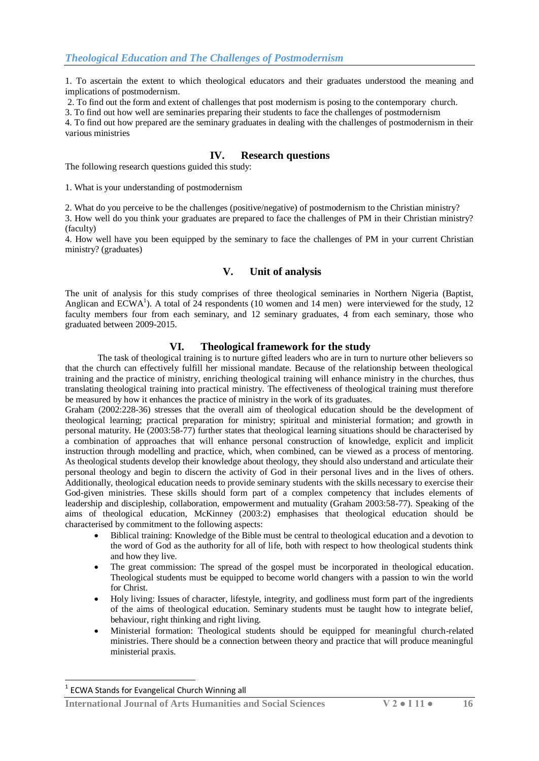1. To ascertain the extent to which theological educators and their graduates understood the meaning and implications of postmodernism.

2. To find out the form and extent of challenges that post modernism is posing to the contemporary church.

3. To find out how well are seminaries preparing their students to face the challenges of postmodernism

4. To find out how prepared are the seminary graduates in dealing with the challenges of postmodernism in their various ministries

## **IV. Research questions**

The following research questions guided this study:

1. What is your understanding of postmodernism

2. What do you perceive to be the challenges (positive/negative) of postmodernism to the Christian ministry?

3. How well do you think your graduates are prepared to face the challenges of PM in their Christian ministry? (faculty)

4. How well have you been equipped by the seminary to face the challenges of PM in your current Christian ministry? (graduates)

# **V. Unit of analysis**

The unit of analysis for this study comprises of three theological seminaries in Northern Nigeria (Baptist, Anglican and  $ECWA<sup>1</sup>$ ). A total of 24 respondents (10 women and 14 men) were interviewed for the study, 12 faculty members four from each seminary, and 12 seminary graduates, 4 from each seminary, those who graduated between 2009-2015.

### **VI. Theological framework for the study**

The task of theological training is to nurture gifted leaders who are in turn to nurture other believers so that the church can effectively fulfill her missional mandate. Because of the relationship between theological training and the practice of ministry, enriching theological training will enhance ministry in the churches, thus translating theological training into practical ministry. The effectiveness of theological training must therefore be measured by how it enhances the practice of ministry in the work of its graduates.

Graham (2002:228-36) stresses that the overall aim of theological education should be the development of theological learning; practical preparation for ministry; spiritual and ministerial formation; and growth in personal maturity. He (2003:58-77) further states that theological learning situations should be characterised by a combination of approaches that will enhance personal construction of knowledge, explicit and implicit instruction through modelling and practice, which, when combined, can be viewed as a process of mentoring. As theological students develop their knowledge about theology, they should also understand and articulate their personal theology and begin to discern the activity of God in their personal lives and in the lives of others. Additionally, theological education needs to provide seminary students with the skills necessary to exercise their God-given ministries. These skills should form part of a complex competency that includes elements of leadership and discipleship, collaboration, empowerment and mutuality (Graham 2003:58-77). Speaking of the aims of theological education, McKinney (2003:2) emphasises that theological education should be characterised by commitment to the following aspects:

- Biblical training: Knowledge of the Bible must be central to theological education and a devotion to the word of God as the authority for all of life, both with respect to how theological students think and how they live.
- The great commission: The spread of the gospel must be incorporated in theological education. Theological students must be equipped to become world changers with a passion to win the world for Christ.
- Holy living: Issues of character, lifestyle, integrity, and godliness must form part of the ingredients of the aims of theological education. Seminary students must be taught how to integrate belief, behaviour, right thinking and right living.
- Ministerial formation: Theological students should be equipped for meaningful church-related ministries. There should be a connection between theory and practice that will produce meaningful ministerial praxis.

1

**International Journal of Arts Humanities and Social Sciences V 2 ● I 11 ● 16**

<sup>&</sup>lt;sup>1</sup> ECWA Stands for Evangelical Church Winning all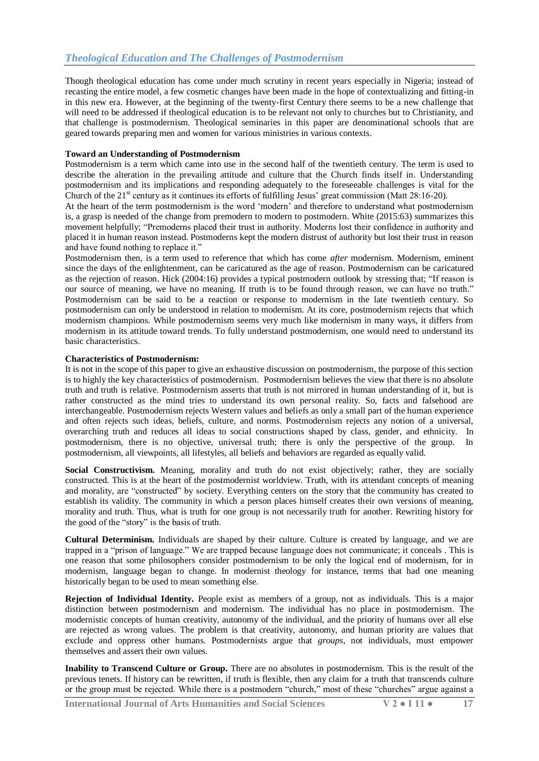Though theological education has come under much scrutiny in recent years especially in Nigeria; instead of recasting the entire model, a few cosmetic changes have been made in the hope of contextualizing and fitting-in in this new era. However, at the beginning of the twenty-first Century there seems to be a new challenge that will need to be addressed if theological education is to be relevant not only to churches but to Christianity, and that challenge is postmodernism. Theological seminaries in this paper are denominational schools that are geared towards preparing men and women for various ministries in various contexts.

#### **Toward an Understanding of Postmodernism**

Postmodernism is a term which came into use in the second half of the twentieth century. The term is used to describe the alteration in the prevailing attitude and culture that the Church finds itself in. Understanding postmodernism and its implications and responding adequately to the foreseeable challenges is vital for the Church of the  $21<sup>st</sup>$  century as it continues its efforts of fulfilling Jesus' great commission (Matt 28:16-20).

At the heart of the term postmodernism is the word "modern" and therefore to understand what postmodernism is, a grasp is needed of the change from premodern to modern to postmodern. White (2015:63) summarizes this movement helpfully; "Premoderns placed their trust in authority. Moderns lost their confidence in authority and placed it in human reason instead. Postmoderns kept the modern distrust of authority but lost their trust in reason and have found nothing to replace it."

Postmodernism then, is a term used to reference that which has come *after* modernism. Modernism, eminent since the days of the enlightenment, can be caricatured as the age of reason. Postmodernism can be caricatured as the rejection of reason. Hick (2004:16) provides a typical postmodern outlook by stressing that; "If reason is our source of meaning, we have no meaning. If truth is to be found through reason, we can have no truth." Postmodernism can be said to be a reaction or response to modernism in the late twentieth century. So postmodernism can only be understood in relation to modernism. At its core, postmodernism rejects that which modernism champions. While postmodernism seems very much like modernism in many ways, it differs from modernism in its attitude toward trends. To fully understand postmodernism, one would need to understand its basic characteristics.

#### **Characteristics of Postmodernism:**

It is not in the scope of this paper to give an exhaustive discussion on postmodernism, the purpose of this section is to highly the key characteristics of postmodernism. Postmodernism believes the view that there is no absolute truth and truth is relative. Postmodernism asserts that truth is not mirrored in human understanding of it, but is rather constructed as the mind tries to understand its own personal reality. So, facts and falsehood are interchangeable. Postmodernism rejects Western values and beliefs as only a small part of the human experience and often rejects such ideas, beliefs, culture, and norms. Postmodernism rejects any notion of a universal, overarching truth and reduces all ideas to social constructions shaped by class, gender, and ethnicity. In postmodernism, there is no objective, universal truth; there is only the perspective of the group. In postmodernism, all viewpoints, all lifestyles, all beliefs and behaviors are regarded as equally valid.

Social Constructivism. Meaning, morality and truth do not exist objectively; rather, they are socially constructed. This is at the heart of the postmodernist worldview. Truth, with its attendant concepts of meaning and morality, are "constructed" by society. Everything centers on the story that the community has created to establish its validity. The community in which a person places himself creates their own versions of meaning, morality and truth. Thus, what is truth for one group is not necessarily truth for another. Rewriting history for the good of the "story" is the basis of truth.

**Cultural Determinism.** Individuals are shaped by their culture. Culture is created by language, and we are trapped in a "prison of language." We are trapped because language does not communicate; it conceals . This is one reason that some philosophers consider postmodernism to be only the logical end of modernism, for in modernism, language began to change. In modernist theology for instance, terms that had one meaning historically began to be used to mean something else.

**Rejection of Individual Identity.** People exist as members of a group, not as individuals. This is a major distinction between postmodernism and modernism. The individual has no place in postmodernism. The modernistic concepts of human creativity, autonomy of the individual, and the priority of humans over all else are rejected as wrong values. The problem is that creativity, autonomy, and human priority are values that exclude and oppress other humans. Postmodernists argue that *groups*, not individuals, must empower themselves and assert their own values.

**Inability to Transcend Culture or Group.** There are no absolutes in postmodernism. This is the result of the previous tenets. If history can be rewritten, if truth is flexible, then any claim for a truth that transcends culture or the group must be rejected. While there is a postmodern "church," most of these "churches" argue against a

**International Journal of Arts Humanities and Social Sciences V 2 ● I 11 ● 17**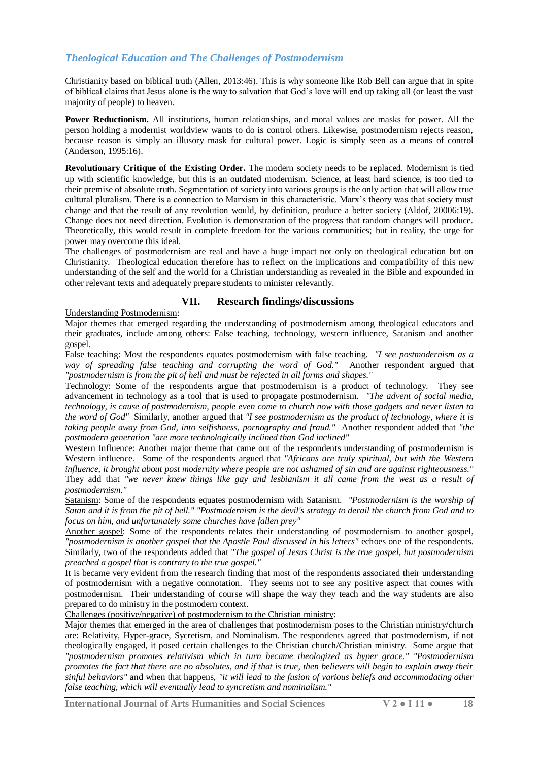Christianity based on biblical truth (Allen, 2013:46). This is why someone like Rob Bell can argue that in spite of biblical claims that Jesus alone is the way to salvation that God"s love will end up taking all (or least the vast majority of people) to heaven.

**Power Reductionism.** All institutions, human relationships, and moral values are masks for power. All the person holding a modernist worldview wants to do is control others. Likewise, postmodernism rejects reason, because reason is simply an illusory mask for cultural power. Logic is simply seen as a means of control (Anderson, 1995:16).

**Revolutionary Critique of the Existing Order.** The modern society needs to be replaced. Modernism is tied up with scientific knowledge, but this is an outdated modernism. Science, at least hard science, is too tied to their premise of absolute truth. Segmentation of society into various groups is the only action that will allow true cultural pluralism. There is a connection to Marxism in this characteristic. Marx"s theory was that society must change and that the result of any revolution would, by definition, produce a better society (Aldof, 20006:19). Change does not need direction. Evolution is demonstration of the progress that random changes will produce. Theoretically, this would result in complete freedom for the various communities; but in reality, the urge for power may overcome this ideal.

The challenges of postmodernism are real and have a huge impact not only on theological education but on Christianity. Theological education therefore has to reflect on the implications and compatibility of this new understanding of the self and the world for a Christian understanding as revealed in the Bible and expounded in other relevant texts and adequately prepare students to minister relevantly.

### **VII. Research findings/discussions**

Understanding Postmodernism:

Major themes that emerged regarding the understanding of postmodernism among theological educators and their graduates, include among others: False teaching, technology, western influence, Satanism and another gospel.

False teaching: Most the respondents equates postmodernism with false teaching. *"I see postmodernism as a way of spreading false teaching and corrupting the word of God."* Another respondent argued that *"postmodernism is from the pit of hell and must be rejected in all forms and shapes."*

Technology: Some of the respondents argue that postmodernism is a product of technology. They see advancement in technology as a tool that is used to propagate postmodernism. *"The advent of social media, technology, is cause of postmodernism, people even come to church now with those gadgets and never listen to the word of God"* Similarly, another argued that *"I see postmodernism as the product of technology, where it is taking people away from God, into selfishness, pornography and fraud."* Another respondent added that *"the postmodern generation "are more technologically inclined than God inclined"*

Western Influence: Another major theme that came out of the respondents understanding of postmodernism is Western influence. Some of the respondents argued that *"Africans are truly spiritual, but with the Western influence, it brought about post modernity where people are not ashamed of sin and are against righteousness."*  They add that *"we never knew things like gay and lesbianism it all came from the west as a result of postmodernism."*

Satanism: Some of the respondents equates postmodernism with Satanism. *"Postmodernism is the worship of Satan and it is from the pit of hell." "Postmodernism is the devil's strategy to derail the church from God and to focus on him, and unfortunately some churches have fallen prey"*

Another gospel: Some of the respondents relates their understanding of postmodernism to another gospel, *"postmodernism is another gospel that the Apostle Paul discussed in his letters"* echoes one of the respondents. Similarly, two of the respondents added that "*The gospel of Jesus Christ is the true gospel, but postmodernism preached a gospel that is contrary to the true gospel."*

It is became very evident from the research finding that most of the respondents associated their understanding of postmodernism with a negative connotation. They seems not to see any positive aspect that comes with postmodernism. Their understanding of course will shape the way they teach and the way students are also prepared to do ministry in the postmodern context.

Challenges (positive/negative) of postmodernism to the Christian ministry:

Major themes that emerged in the area of challenges that postmodernism poses to the Christian ministry/church are: Relativity, Hyper-grace, Sycretism, and Nominalism. The respondents agreed that postmodernism, if not theologically engaged, it posed certain challenges to the Christian church/Christian ministry. Some argue that *"postmodernism promotes relativism which in turn became theologized as hyper grace." "Postmodernism promotes the fact that there are no absolutes, and if that is true, then believers will begin to explain away their sinful behaviors"* and when that happens, *"it will lead to the fusion of various beliefs and accommodating other false teaching, which will eventually lead to syncretism and nominalism."*

**International Journal of Arts Humanities and Social Sciences V 2 ● I 11 ● 18**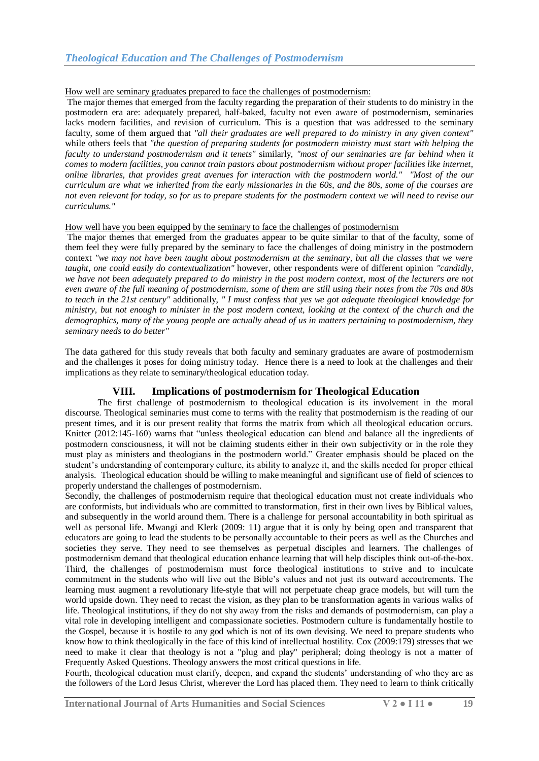#### How well are seminary graduates prepared to face the challenges of postmodernism:

The major themes that emerged from the faculty regarding the preparation of their students to do ministry in the postmodern era are: adequately prepared, half-baked, faculty not even aware of postmodernism, seminaries lacks modern facilities, and revision of curriculum. This is a question that was addressed to the seminary faculty, some of them argued that *"all their graduates are well prepared to do ministry in any given context"* while others feels that *"the question of preparing students for postmodern ministry must start with helping the faculty to understand postmodernism and it tenets"* similarly, *"most of our seminaries are far behind when it comes to modern facilities, you cannot train pastors about postmodernism without proper facilities like internet, online libraries, that provides great avenues for interaction with the postmodern world." "Most of the our curriculum are what we inherited from the early missionaries in the 60s, and the 80s, some of the courses are not even relevant for today, so for us to prepare students for the postmodern context we will need to revise our curriculums."*

#### How well have you been equipped by the seminary to face the challenges of postmodernism

The major themes that emerged from the graduates appear to be quite similar to that of the faculty, some of them feel they were fully prepared by the seminary to face the challenges of doing ministry in the postmodern context *"we may not have been taught about postmodernism at the seminary, but all the classes that we were taught, one could easily do contextualization"* however, other respondents were of different opinion *"candidly, we have not been adequately prepared to do ministry in the post modern context, most of the lecturers are not even aware of the full meaning of postmodernism, some of them are still using their notes from the 70s and 80s to teach in the 21st century"* additionally, *" I must confess that yes we got adequate theological knowledge for ministry, but not enough to minister in the post modern context, looking at the context of the church and the demographics, many of the young people are actually ahead of us in matters pertaining to postmodernism, they seminary needs to do better"*

The data gathered for this study reveals that both faculty and seminary graduates are aware of postmodernism and the challenges it poses for doing ministry today. Hence there is a need to look at the challenges and their implications as they relate to seminary/theological education today.

# **VIII. Implications of postmodernism for Theological Education**

The first challenge of postmodernism to theological education is its involvement in the moral discourse. Theological seminaries must come to terms with the reality that postmodernism is the reading of our present times, and it is our present reality that forms the matrix from which all theological education occurs. Knitter (2012:145-160) warns that "unless theological education can blend and balance all the ingredients of postmodern consciousness, it will not be claiming students either in their own subjectivity or in the role they must play as ministers and theologians in the postmodern world." Greater emphasis should be placed on the student"s understanding of contemporary culture, its ability to analyze it, and the skills needed for proper ethical analysis. Theological education should be willing to make meaningful and significant use of field of sciences to properly understand the challenges of postmodernism.

Secondly, the challenges of postmodernism require that theological education must not create individuals who are conformists, but individuals who are committed to transformation, first in their own lives by Biblical values, and subsequently in the world around them. There is a challenge for personal accountability in both spiritual as well as personal life. Mwangi and Klerk (2009: 11) argue that it is only by being open and transparent that educators are going to lead the students to be personally accountable to their peers as well as the Churches and societies they serve. They need to see themselves as perpetual disciples and learners. The challenges of postmodernism demand that theological education enhance learning that will help disciples think out-of-the-box. Third, the challenges of postmodernism must force theological institutions to strive and to inculcate commitment in the students who will live out the Bible"s values and not just its outward accoutrements. The learning must augment a revolutionary life-style that will not perpetuate cheap grace models, but will turn the world upside down. They need to recast the vision, as they plan to be transformation agents in various walks of life. Theological institutions, if they do not shy away from the risks and demands of postmodernism, can play a vital role in developing intelligent and compassionate societies. Postmodern culture is fundamentally hostile to the Gospel, because it is hostile to any god which is not of its own devising. We need to prepare students who know how to think theologically in the face of this kind of intellectual hostility. Cox (2009:179) stresses that we need to make it clear that theology is not a "plug and play" peripheral; doing theology is not a matter of Frequently Asked Questions. Theology answers the most critical questions in life.

Fourth, theological education must clarify, deepen, and expand the students" understanding of who they are as the followers of the Lord Jesus Christ, wherever the Lord has placed them. They need to learn to think critically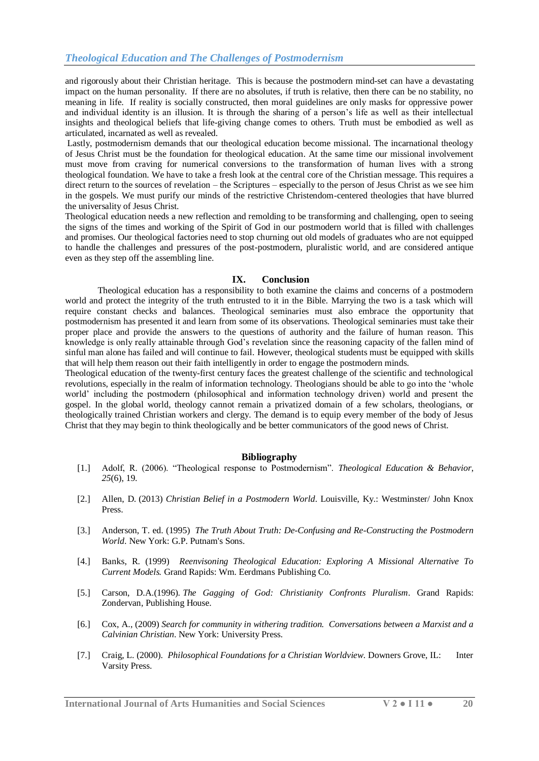and rigorously about their Christian heritage. This is because the postmodern mind-set can have a devastating impact on the human personality. If there are no absolutes, if truth is relative, then there can be no stability, no meaning in life. If reality is socially constructed, then moral guidelines are only masks for oppressive power and individual identity is an illusion. It is through the sharing of a person"s life as well as their intellectual insights and theological beliefs that life-giving change comes to others. Truth must be embodied as well as articulated, incarnated as well as revealed.

Lastly, postmodernism demands that our theological education become missional. The incarnational theology of Jesus Christ must be the foundation for theological education. At the same time our missional involvement must move from craving for numerical conversions to the transformation of human lives with a strong theological foundation. We have to take a fresh look at the central core of the Christian message. This requires a direct return to the sources of revelation – the Scriptures – especially to the person of Jesus Christ as we see him in the gospels. We must purify our minds of the restrictive Christendom-centered theologies that have blurred the universality of Jesus Christ.

Theological education needs a new reflection and remolding to be transforming and challenging, open to seeing the signs of the times and working of the Spirit of God in our postmodern world that is filled with challenges and promises. Our theological factories need to stop churning out old models of graduates who are not equipped to handle the challenges and pressures of the post-postmodern, pluralistic world, and are considered antique even as they step off the assembling line.

#### **IX. Conclusion**

Theological education has a responsibility to both examine the claims and concerns of a postmodern world and protect the integrity of the truth entrusted to it in the Bible. Marrying the two is a task which will require constant checks and balances. Theological seminaries must also embrace the opportunity that postmodernism has presented it and learn from some of its observations. Theological seminaries must take their proper place and provide the answers to the questions of authority and the failure of human reason. This knowledge is only really attainable through God"s revelation since the reasoning capacity of the fallen mind of sinful man alone has failed and will continue to fail. However, theological students must be equipped with skills that will help them reason out their faith intelligently in order to engage the postmodern minds.

Theological education of the twenty-first century faces the greatest challenge of the scientific and technological revolutions, especially in the realm of information technology. Theologians should be able to go into the "whole world" including the postmodern (philosophical and information technology driven) world and present the gospel. In the global world, theology cannot remain a privatized domain of a few scholars, theologians, or theologically trained Christian workers and clergy. The demand is to equip every member of the body of Jesus Christ that they may begin to think theologically and be better communicators of the good news of Christ.

#### **Bibliography**

- [1.] Adolf, R. (2006). "Theological response to Postmodernism". *Theological Education & Behavior*, *25*(6), 19.
- [2.] Allen, D. (2013) *Christian Belief in a Postmodern World*. Louisville, Ky.: Westminster/ John Knox Press.
- [3.] Anderson, T. ed. (1995) *The Truth About Truth: De-Confusing and Re-Constructing the Postmodern World*. New York: G.P. Putnam's Sons.
- [4.] Banks, R. (1999) *Reenvisoning Theological Education: Exploring A Missional Alternative To Current Models.* Grand Rapids: Wm. Eerdmans Publishing Co.
- [5.] Carson, D.A.(1996). *The Gagging of God: Christianity Confronts Pluralism*. Grand Rapids: Zondervan, Publishing House.
- [6.] Cox, A., (2009) *Search for community in withering tradition. Conversations between a Marxist and a Calvinian Christian*. New York: University Press.
- [7.] Craig, L. (2000). *Philosophical Foundations for a Christian Worldview*. Downers Grove, IL: Inter Varsity Press.